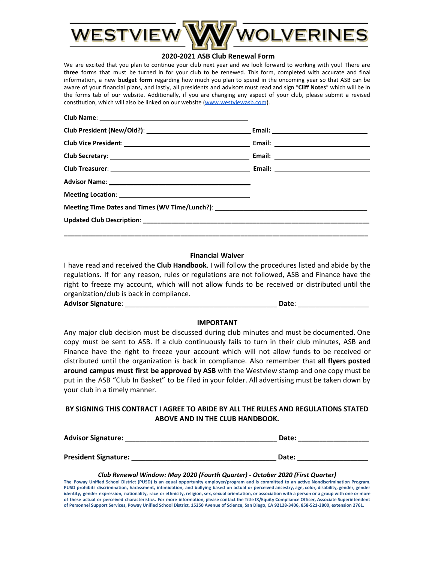

### **2020-2021 ASB Club Renewal Form**

We are excited that you plan to continue your club next year and we look forward to working with you! There are **three** forms that must be turned in for your club to be renewed. This form, completed with accurate and final information, a new **budget form** regarding how much you plan to spend in the oncoming year so that ASB can be aware of your financial plans, and lastly, all presidents and advisors must read and sign "**Cliff Notes**" which will be in the forms tab of our website. Additionally, if you are changing any aspect of your club, please submit a revised constitution, which will also be linked on our website ([www.westviewasb.com](http://www.westviewasb.com/)).

| Meeting Time Dates and Times (WV Time/Lunch?): _________________________________ |  |
|----------------------------------------------------------------------------------|--|
|                                                                                  |  |
|                                                                                  |  |

### **Financial Waiver**

I have read and received the **Club Handbook**. I will follow the procedures listed and abide by the regulations. If for any reason, rules or regulations are not followed, ASB and Finance have the right to freeze my account, which will not allow funds to be received or distributed until the organization/club is back in compliance.

| <b>Advisor Signature:</b> |  | <b>Date:</b> |  |
|---------------------------|--|--------------|--|
|---------------------------|--|--------------|--|

### **IMPORTANT**

Any major club decision must be discussed during club minutes and must be documented. One copy must be sent to ASB. If a club continuously fails to turn in their club minutes, ASB and Finance have the right to freeze your account which will not allow funds to be received or distributed until the organization is back in compliance. Also remember that **all flyers posted around campus must first be approved by ASB** with the Westview stamp and one copy must be put in the ASB "Club In Basket" to be filed in your folder. All advertising must be taken down by your club in a timely manner.

## **BY SIGNING THIS CONTRACT I AGREE TO ABIDE BY ALL THE RULES AND REGULATIONS STATED ABOVE AND IN THE CLUB HANDBOOK.**

| <b>Advisor Signature:</b>   | Date: |
|-----------------------------|-------|
| <b>President Signature:</b> | Date: |

### *Club Renewal Window: May 2020 (Fourth Quarter) - October 2020 (First Quarter)*

The Poway Unified School District (PUSD) is an equal opportunity employer/program and is committed to an active Nondiscrimination Program. PUSD prohibits discrimination, harassment, intimidation, and bullying based on actual or perceived ancestry, age, color, disability, gender, gender identity, gender expression, nationality, race or ethnicity, religion, sex, sexual orientation, or association with a person or a group with one or more of these actual or perceived characteristics. For more information, please contact the Title IX/Equity Compliance Officer, Associate Superintendent of Personnel Support Services, Poway Unified School District, 15250 Avenue of Science, San Diego, CA 92128-3406, 858-521-2800, extension 2761.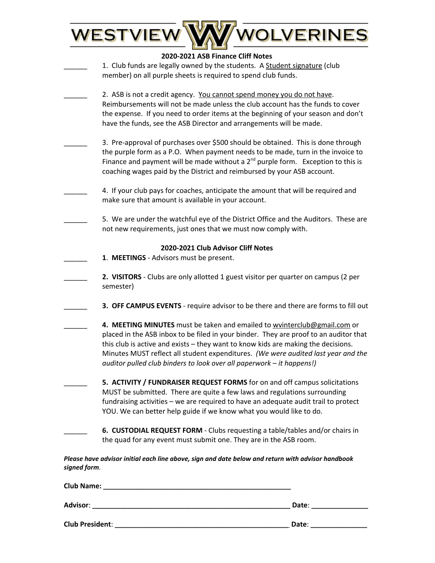|              | WESTVIEW<br>WOLVERINES                                                                                                                                                                                                                                                                                                                                                                                               |
|--------------|----------------------------------------------------------------------------------------------------------------------------------------------------------------------------------------------------------------------------------------------------------------------------------------------------------------------------------------------------------------------------------------------------------------------|
|              | 2020-2021 ASB Finance Cliff Notes<br>1. Club funds are legally owned by the students. A Student signature (club<br>member) on all purple sheets is required to spend club funds.                                                                                                                                                                                                                                     |
|              | 2. ASB is not a credit agency. You cannot spend money you do not have.<br>Reimbursements will not be made unless the club account has the funds to cover<br>the expense. If you need to order items at the beginning of your season and don't<br>have the funds, see the ASB Director and arrangements will be made.                                                                                                 |
|              | 3. Pre-approval of purchases over \$500 should be obtained. This is done through<br>the purple form as a P.O. When payment needs to be made, turn in the invoice to<br>Finance and payment will be made without a $2^{nd}$ purple form. Exception to this is<br>coaching wages paid by the District and reimbursed by your ASB account.                                                                              |
|              | 4. If your club pays for coaches, anticipate the amount that will be required and<br>make sure that amount is available in your account.                                                                                                                                                                                                                                                                             |
|              | 5. We are under the watchful eye of the District Office and the Auditors. These are<br>not new requirements, just ones that we must now comply with.                                                                                                                                                                                                                                                                 |
|              | 2020-2021 Club Advisor Cliff Notes<br>1. MEETINGS - Advisors must be present.                                                                                                                                                                                                                                                                                                                                        |
| semester)    | 2. VISITORS - Clubs are only allotted 1 guest visitor per quarter on campus (2 per                                                                                                                                                                                                                                                                                                                                   |
|              | 3. OFF CAMPUS EVENTS - require advisor to be there and there are forms to fill out                                                                                                                                                                                                                                                                                                                                   |
|              | 4. MEETING MINUTES must be taken and emailed to wvinterclub@gmail.com or<br>placed in the ASB inbox to be filed in your binder. They are proof to an auditor that<br>this club is active and exists - they want to know kids are making the decisions.<br>Minutes MUST reflect all student expenditures. (We were audited last year and the<br>auditor pulled club binders to look over all paperwork - it happens!) |
|              | 5. ACTIVITY / FUNDRAISER REQUEST FORMS for on and off campus solicitations<br>MUST be submitted. There are quite a few laws and regulations surrounding<br>fundraising activities - we are required to have an adequate audit trail to protect<br>YOU. We can better help guide if we know what you would like to do.                                                                                                |
|              | 6. CUSTODIAL REQUEST FORM - Clubs requesting a table/tables and/or chairs in<br>the quad for any event must submit one. They are in the ASB room.                                                                                                                                                                                                                                                                    |
| signed form. | Please have advisor initial each line above, sign and date below and return with advisor handbook                                                                                                                                                                                                                                                                                                                    |

| <b>Club Name:</b>      |       |
|------------------------|-------|
| <b>Advisor:</b>        | Date: |
| <b>Club President:</b> | Date: |